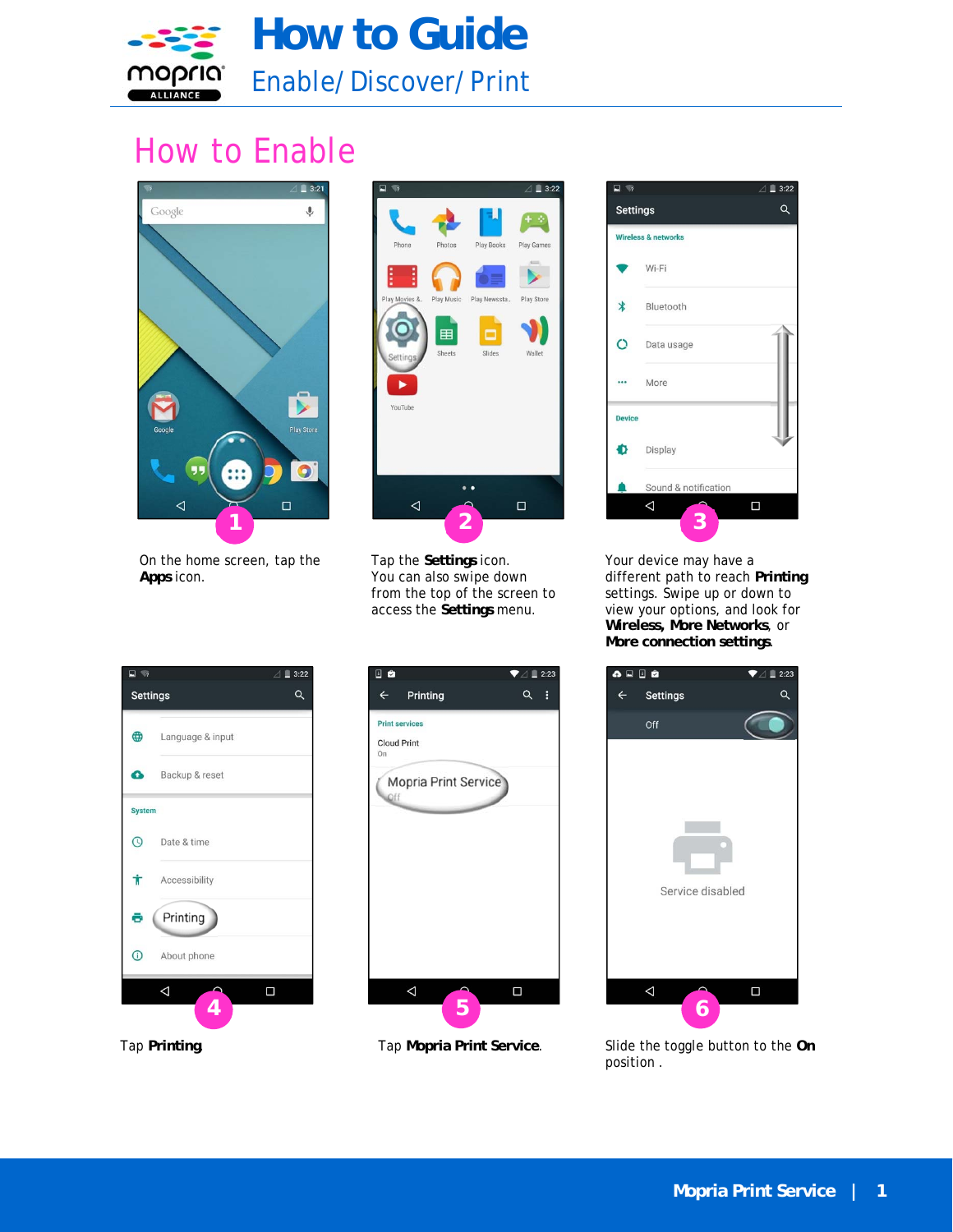

## How to Enable



On the home screen, tap the **Apps** icon.



Tap the **Settings** icon. You can also swipe down from the top of the screen to access the **Settings** menu.



Your device may have a different path to reach **Printing** settings. Swipe up or down to view your options, and look for **Wireless, More Networks**, or **More connection settings**.



日台  $\blacktriangledown$   $\triangle$  1 2:23  $\leftarrow$ Printing  $Q$  : **Print services** Cloud Print Mopria Print Service  $\triangle$  $\Box$ **4 5 6** 



Tap **Mopria Print Service**. Slide the toggle button to the **On** position .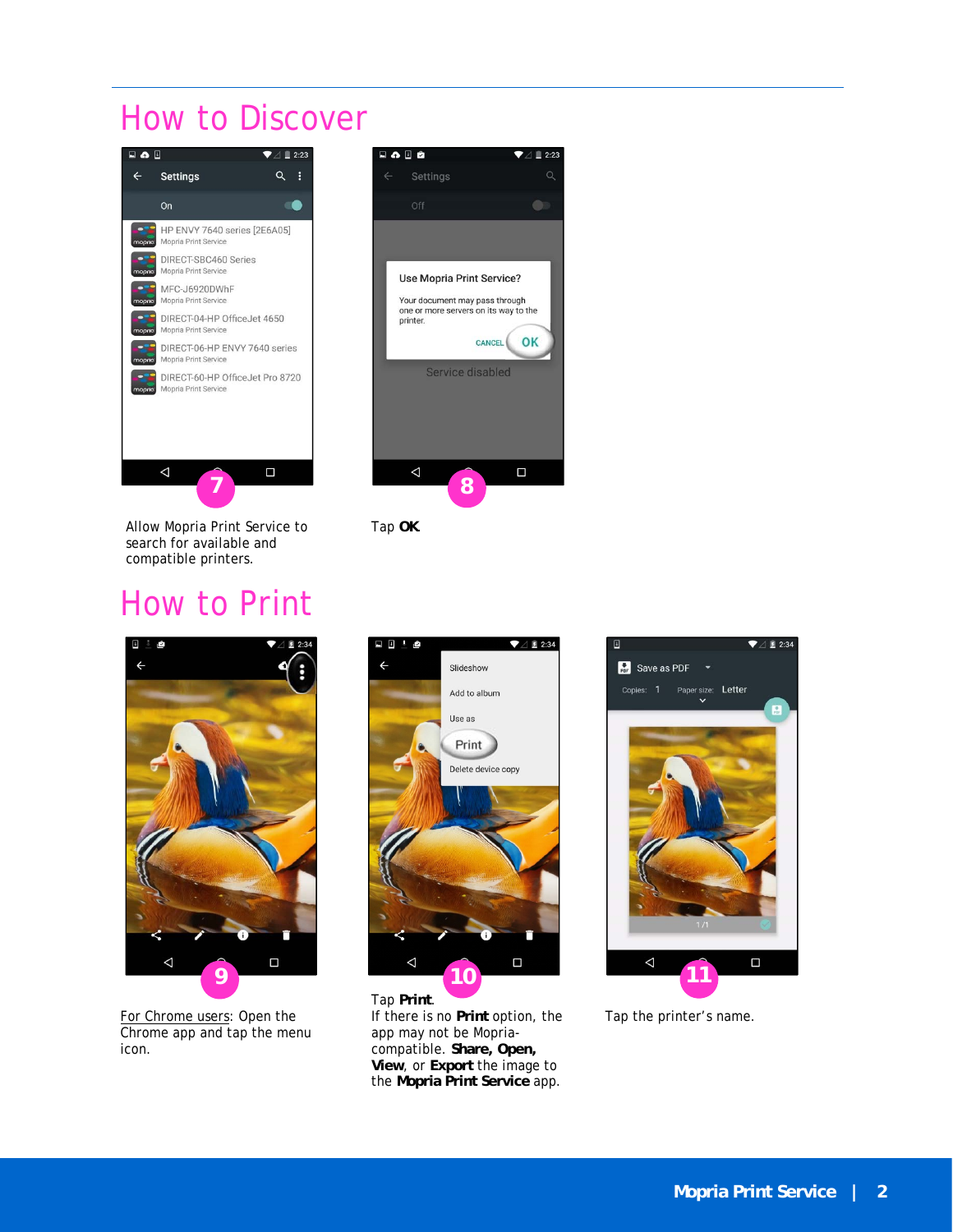## How to Discover



Allow Mopria Print Service to search for available and compatible printers.

## How to Print



Tap **OK**.



For Chrome users: Open the Chrome app and tap the menu icon.



Tap **Print**. If there is no **Print** option, the app may not be Mopriacompatible. **Share, Open, View**, or **Export** the image to the **Mopria Print Service** app.



Tap the printer's name.